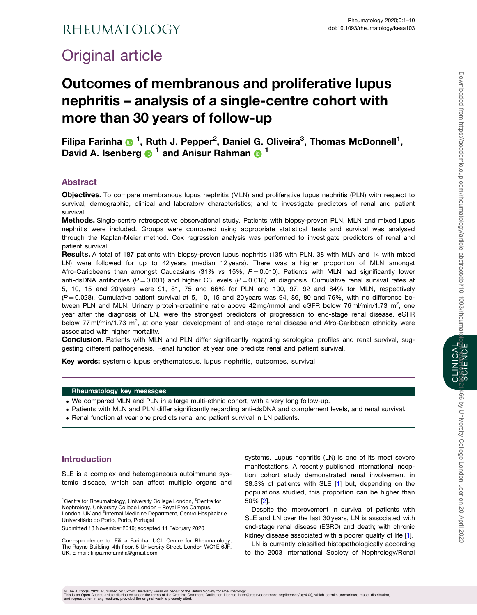## <span id="page-0-0"></span>**RHEUMATOLOGY**

# Original article

## Outcomes of membranous and proliferative lupus nephritis – analysis of a single-centre cohort with more than 30 years of follow-up

Filipa Farinha <sup>n 1</sup>, Ruth J. Pepper<sup>2</sup>, Daniel G. Oliveira<sup>3</sup>, Thomas McDonnell<sup>1</sup>, David A. Isenberg  $\bigcirc$ <sup>1</sup> and Anisur Rahman  $\bigcirc$ <sup>1</sup>

## Abstract

Objectives. To compare membranous lupus nephritis (MLN) and proliferative lupus nephritis (PLN) with respect to survival, demographic, clinical and laboratory characteristics; and to investigate predictors of renal and patient survival.

Methods. Single-centre retrospective observational study. Patients with biopsy-proven PLN, MLN and mixed lupus nephritis were included. Groups were compared using appropriate statistical tests and survival was analysed through the Kaplan-Meier method. Cox regression analysis was performed to investigate predictors of renal and patient survival.

Results. A total of 187 patients with biopsy-proven lupus nephritis (135 with PLN, 38 with MLN and 14 with mixed LN) were followed for up to 42 years (median 12 years). There was a higher proportion of MLN amongst Afro-Caribbeans than amongst Caucasians (31% vs 15%,  $P = 0.010$ ). Patients with MLN had significantly lower anti-dsDNA antibodies ( $P = 0.001$ ) and higher C3 levels ( $P = 0.018$ ) at diagnosis. Cumulative renal survival rates at 5, 10, 15 and 20 years were 91, 81, 75 and 66% for PLN and 100, 97, 92 and 84% for MLN, respectively  $(P = 0.028)$ . Cumulative patient survival at 5, 10, 15 and 20 years was 94, 86, 80 and 76%, with no difference between PLN and MLN. Urinary protein-creatinine ratio above 42 mg/mmol and eGFR below 76 ml/min/1.73 m<sup>2</sup>, one year after the diagnosis of LN, were the strongest predictors of progression to end-stage renal disease. eGFR below 77 ml/min/1.73 m<sup>2</sup>, at one year, development of end-stage renal disease and Afro-Caribbean ethnicity were associated with higher mortality.

Conclusion. Patients with MLN and PLN differ significantly regarding serological profiles and renal survival, suggesting different pathogenesis. Renal function at year one predicts renal and patient survival.

Key words: systemic lupus erythematosus, lupus nephritis, outcomes, survival

#### Rheumatology key messages

- . We compared MLN and PLN in a large multi-ethnic cohort, with a very long follow-up.
- . Patients with MLN and PLN differ significantly regarding anti-dsDNA and complement levels, and renal survival.
- . Renal function at year one predicts renal and patient survival in LN patients.

### Introduction

SLE is a complex and heterogeneous autoimmune systemic disease, which can affect multiple organs and

Submitted 13 November 2019; accepted 11 February 2020

Correspondence to: Filipa Farinha, UCL Centre for Rheumatology, The Rayne Building, 4th floor, 5 University Street, London WC1E 6JF, UK. E-mail: filipa.mcfarinha@gmail.com

systems. Lupus nephritis (LN) is one of its most severe manifestations. A recently published international inception cohort study demonstrated renal involvement in 38.3% of patients with SLE [\[1\]](#page-8-0) but, depending on the populations studied, this proportion can be higher than 50% [[2](#page-8-0)].

Despite the improvement in survival of patients with SLE and LN over the last 30 years, LN is associated with end-stage renal disease (ESRD) and death; with chronic kidney disease associated with a poorer quality of life [\[1\]](#page-8-0).

LN is currently classified histopathologically according to the 2003 International Society of Nephrology/Renal 466 by University College London user on 20 April 2020

<sup>&</sup>lt;sup>1</sup>Centre for Rheumatology, University College London, <sup>2</sup>Centre for Nephrology, University College London – Royal Free Campus, London, UK and <sup>3</sup>Internal Medicine Department, Centro Hospitalar e Universitário do Porto, Porto, Portugal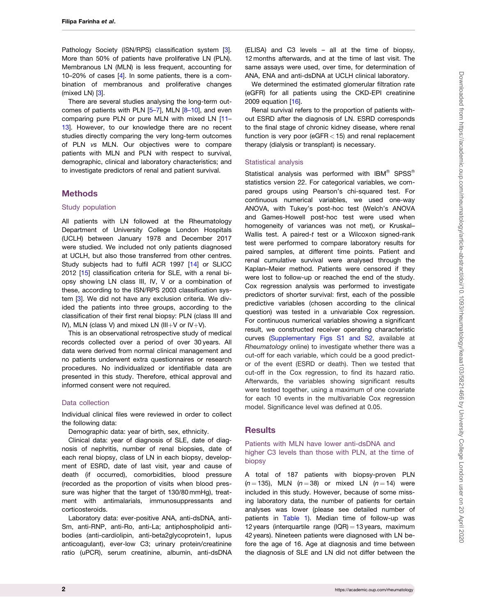<span id="page-1-0"></span>Pathology Society (ISN/RPS) classification system [\[3](#page-8-0)]. More than 50% of patients have proliferative LN (PLN). Membranous LN (MLN) is less frequent, accounting for 10–20% of cases [\[4\]](#page-8-0). In some patients, there is a combination of membranous and proliferative changes (mixed LN) [[3](#page-8-0)].

There are several studies analysing the long-term outcomes of patients with PLN  $[5-7]$  $[5-7]$  $[5-7]$  $[5-7]$  $[5-7]$ , MLN  $[8-10]$ , and even comparing pure PLN or pure MLN with mixed LN [\[11](#page-8-0)– [13\]](#page-9-0). However, to our knowledge there are no recent studies directly comparing the very long-term outcomes of PLN vs MLN. Our objectives were to compare patients with MLN and PLN with respect to survival, demographic, clinical and laboratory characteristics; and to investigate predictors of renal and patient survival.

#### **Methods**

#### Study population

All patients with LN followed at the Rheumatology Department of University College London Hospitals (UCLH) between January 1978 and December 2017 were studied. We included not only patients diagnosed at UCLH, but also those transferred from other centres. Study subjects had to fulfil ACR 1997 [[14](#page-9-0)] or SLICC 2012 [\[15](#page-9-0)] classification criteria for SLE, with a renal biopsy showing LN class III, IV, V or a combination of these, according to the ISN/RPS 2003 classification system [\[3](#page-8-0)]. We did not have any exclusion criteria. We divided the patients into three groups, according to the classification of their first renal biopsy: PLN (class III and IV), MLN (class V) and mixed LN (III+V or  $IV+V$ ).

This is an observational retrospective study of medical records collected over a period of over 30 years. All data were derived from normal clinical management and no patients underwent extra questionnaires or research procedures. No individualized or identifiable data are presented in this study. Therefore, ethical approval and informed consent were not required.

#### Data collection

Individual clinical files were reviewed in order to collect the following data:

Demographic data: year of birth, sex, ethnicity.

Clinical data: year of diagnosis of SLE, date of diagnosis of nephritis, number of renal biopsies, date of each renal biopsy, class of LN in each biopsy, development of ESRD, date of last visit, year and cause of death (if occurred), comorbidities, blood pressure (recorded as the proportion of visits when blood pressure was higher that the target of 130/80 mmHg), treatment with antimalarials, immunosuppressants and corticosteroids.

Laboratory data: ever-positive ANA, anti-dsDNA, anti-Sm, anti-RNP, anti-Ro, anti-La; antiphospholipid antibodies (anti-cardiolipin, anti-beta2glycoprotein1, lupus anticoagulant), ever-low C3; urinary protein/creatinine ratio (uPCR), serum creatinine, albumin, anti-dsDNA (ELISA) and C3 levels – all at the time of biopsy, 12 months afterwards, and at the time of last visit. The same assays were used, over time, for determination of ANA, ENA and anti-dsDNA at UCLH clinical laboratory.

We determined the estimated glomerular filtration rate (eGFR) for all patients using the CKD-EPI creatinine 2009 equation [\[16\]](#page-9-0).

Renal survival refers to the proportion of patients without ESRD after the diagnosis of LN. ESRD corresponds to the final stage of chronic kidney disease, where renal function is very poor (eGFR  $<$  15) and renal replacement therapy (dialysis or transplant) is necessary.

#### Statistical analysis

Statistical analysis was performed with IBM $^{\circledR}$  SPSS $^{\circledR}$ statistics version 22. For categorical variables, we compared groups using Pearson's chi-squared test. For continuous numerical variables, we used one-way ANOVA, with Tukey's post-hoc test (Welch's ANOVA and Games-Howell post-hoc test were used when homogeneity of variances was not met), or Kruskal– Wallis test. A paired-t test or a Wilcoxon signed-rank test were performed to compare laboratory results for paired samples, at different time points. Patient and renal cumulative survival were analysed through the Kaplan–Meier method. Patients were censored if they were lost to follow-up or reached the end of the study. Cox regression analysis was performed to investigate predictors of shorter survival: first, each of the possible predictive variables (chosen according to the clinical question) was tested in a univariable Cox regression. For continuous numerical variables showing a significant result, we constructed receiver operating characteristic curves ([Supplementary Figs S1 and S2,](https://academic.oup.com/rheumatology/article-lookup/doi/10.1093/rheumatology/keaa103#supplementary-data) available at Rheumatology online) to investigate whether there was a cut-off for each variable, which could be a good predictor of the event (ESRD or death). Then we tested that cut-off in the Cox regression, to find its hazard ratio. Afterwards, the variables showing significant results were tested together, using a maximum of one covariate for each 10 events in the multivariable Cox regression model. Significance level was defined at 0.05.

#### **Results**

#### Patients with MLN have lower anti-dsDNA and higher C3 levels than those with PLN, at the time of biopsy

A total of 187 patients with biopsy-proven PLN  $(n = 135)$ , MLN  $(n = 38)$  or mixed LN  $(n = 14)$  were included in this study. However, because of some missing laboratory data, the number of patients for certain analyses was lower (please see detailed number of patients in [Table 1](#page-2-0)). Median time of follow-up was 12 years (interquartile range  $(IQR) = 13$  years, maximum 42 years). Nineteen patients were diagnosed with LN before the age of 16. Age at diagnosis and time between the diagnosis of SLE and LN did not differ between the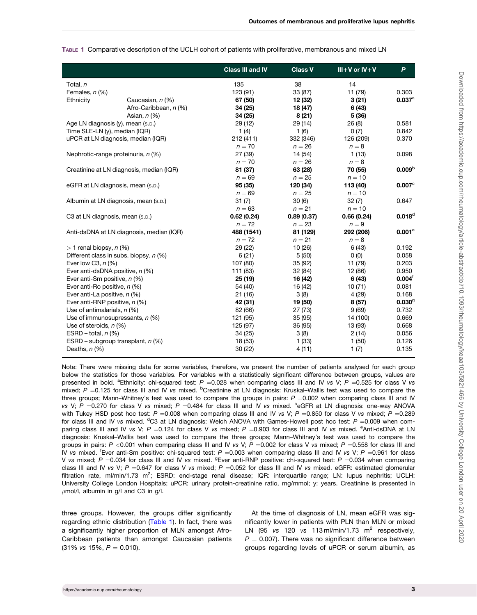|                                    |                                          | <b>Class III and IV</b> | <b>Class V</b> | $III + V$ or $IV + V$ | $\mathsf{P}$         |
|------------------------------------|------------------------------------------|-------------------------|----------------|-----------------------|----------------------|
| Total, n                           |                                          | 135                     | 38             | 14                    |                      |
| Females, n (%)                     |                                          | 123 (91)                | 33 (87)        | 11 (79)               | 0.303                |
| Ethnicity                          | Caucasian, n (%)                         | 67 (50)                 | 12 (32)        | 3(21)                 | $0.037^{\circ}$      |
|                                    | Afro-Caribbean, n (%)                    | 34 (25)                 | 18 (47)        | 6 (43)                |                      |
|                                    | Asian, $n$ (%)                           | 34 (25)                 | 8(21)          | 5 (36)                |                      |
|                                    | Age LN diagnosis (y), mean (s.p.)        | 29 (12)                 | 29 (14)        | 26(8)                 | 0.581                |
| Time SLE-LN (y), median (IQR)      |                                          | 1(4)                    | 1(6)           | 0(7)                  | 0.842                |
| uPCR at LN diagnosis, median (IQR) |                                          | 212 (411)               | 332 (346)      | 126 (209)             | 0.370                |
|                                    |                                          | $n = 70$                | $n = 26$       | $n = 8$               |                      |
|                                    | Nephrotic-range proteinuria, n (%)       | 27 (39)                 | 14 (54)        | 1(13)                 | 0.098                |
|                                    |                                          | $n = 70$                | $n = 26$       | $n = 8$               |                      |
|                                    | Creatinine at LN diagnosis, median (IQR) | 81 (37)                 | 63 (28)        | 70 (55)               | 0.009 <sup>b</sup>   |
|                                    |                                          | $n = 69$                | $n = 25$       | $n = 10$              |                      |
|                                    | eGFR at LN diagnosis, mean (s.p.)        | 95(35)                  | 120 (34)       | 113 (40)              | $0.007$ <sup>c</sup> |
|                                    |                                          | $n = 69$                | $n = 25$       | $n = 10$              |                      |
|                                    | Albumin at LN diagnosis, mean (s.p.)     | 31(7)                   | 30(6)          | 32(7)                 | 0.647                |
|                                    |                                          | $n = 63$                | $n = 21$       | $n = 10$              |                      |
| C3 at LN diagnosis, mean (s.p.)    |                                          | 0.62(0.24)              | 0.89(0.37)     | 0.66(0.24)            | $0.018^d$            |
|                                    |                                          | $n = 72$                | $n = 23$       | $n = 9$               |                      |
|                                    | Anti-dsDNA at LN diagnosis, median (IQR) | 488 (1541)              | 81 (129)       | 292 (206)             | $0.001^\circ$        |
|                                    |                                          | $n = 72$                | $n = 21$       | $n = 8$               |                      |
| $> 1$ renal biopsy, n (%)          |                                          | 29 (22)                 | 10(26)         | 6(43)                 | 0.192                |
|                                    | Different class in subs. biopsy, n (%)   | 6(21)                   | 5(50)          | 0(0)                  | 0.058                |
| Ever low C3, $n$ (%)               |                                          | 107 (80)                | 35 (92)        | 11 (79)               | 0.203                |
| Ever anti-dsDNA positive, n (%)    |                                          | 111 (83)                | 32 (84)        | 12 (86)               | 0.950                |
| Ever anti-Sm positive, n (%)       |                                          | 25 (19)                 | 16 (42)        | 6(43)                 | $0.004^{\dagger}$    |
| Ever anti-Ro positive, n (%)       |                                          | 54 (40)                 | 16 (42)        | 10(71)                | 0.081                |
| Ever anti-La positive, n (%)       |                                          | 21 (16)                 | 3(8)           | 4(29)                 | 0.168                |
| Ever anti-RNP positive, n (%)      |                                          | 42 (31)                 | 19 (50)        | 8 (57)                | $0.030^9$            |
| Use of antimalarials, $n$ (%)      |                                          | 82 (66)                 | 27(73)         | 9(69)                 | 0.732                |
|                                    | Use of immunosupressants, $n$ (%)        | 121 (95)                | 35(95)         | 14 (100)              | 0.669                |
| Use of steroids, $n$ (%)           |                                          | 125 (97)                | 36 (95)        | 13 (93)               | 0.668                |
| ESRD – total, $n$ (%)              |                                          | 34(25)                  | 3(8)           | 2(14)                 | 0.056                |
|                                    | ESRD – subgroup transplant, $n$ (%)      | 18 (53)                 | 1(33)          | 1(50)                 | 0.126                |
| Deaths, $n$ (%)                    |                                          | 30(22)                  | 4 (11)         | 1(7)                  | 0.135                |

<span id="page-2-0"></span>TABLE 1 Comparative description of the UCLH cohort of patients with proliferative, membranous and mixed LN

Note: There were missing data for some variables, therefore, we present the number of patients analysed for each group below the statistics for those variables. For variables with a statistically significant difference between groups, values are presented in bold. <sup>a</sup>Ethnicity: chi-squared test:  $P = 0.028$  when comparing class III and IV vs V;  $P = 0.525$  for class V vs mixed;  $P = 0.125$  for class III and IV vs mixed. <sup>b</sup>Creatinine at LN diagnosis: Kruskal–Wallis test was used to compare the three groups; Mann–Whitney's test was used to compare the groups in pairs:  $P = 0.002$  when comparing class III and IV vs V;  $P = 0.270$  for class V vs mixed;  $P = 0.484$  for class III and IV vs mixed. <sup>c</sup>eGFR at LN diagnosis: one-way ANOVA with Tukey HSD post hoc test: P = 0.008 when comparing class III and IV vs V; P = 0.850 for class V vs mixed; P = 0.289 for class III and IV vs mixed. <sup>d</sup>C3 at LN diagnosis: Welch ANOVA with Games-Howell post hoc test: P =0.009 when comparing class III and IV vs V;  $P = 0.124$  for class V vs mixed;  $P = 0.903$  for class III and IV vs mixed. <sup>e</sup>Anti-dsDNA at LN diagnosis: Kruskal–Wallis test was used to compare the three groups; Mann–Whitney's test was used to compare the groups in pairs:  $P < 0.001$  when comparing class III and IV vs V;  $P = 0.002$  for class V vs mixed;  $P = 0.558$  for class III and IV vs mixed. Ever anti-Sm positive: chi-squared test:  $P = 0.003$  when comparing class III and IV vs V;  $P = 0.961$  for class V vs mixed;  $P = 0.034$  for class III and IV vs mixed. <sup>g</sup>Ever anti-RNP positive: chi-squared test:  $P = 0.034$  when comparing class III and IV vs V; P = 0.647 for class V vs mixed; P = 0.052 for class III and IV vs mixed. eGFR: estimated glomerular filtration rate, ml/min/1.73 m<sup>2</sup>; ESRD: end-stage renal disease; IQR: interquartile range; LN: lupus nephritis; UCLH: University College London Hospitals; uPCR: urinary protein-creatinine ratio, mg/mmol; y: years. Creatinine is presented in  $\mu$ mol/l, albumin in g/l and C3 in g/l.

three groups. However, the groups differ significantly regarding ethnic distribution (Table 1). In fact, there was a significantly higher proportion of MLN amongst Afro-Caribbean patients than amongst Caucasian patients  $(31\% \text{ vs } 15\%, P = 0.010).$ 

At the time of diagnosis of LN, mean eGFR was significantly lower in patients with PLN than MLN or mixed LN (95 vs 120 vs 113 ml/min/1.73  $m^2$  respectively,  $P = 0.007$ ). There was no significant difference between groups regarding levels of uPCR or serum albumin, as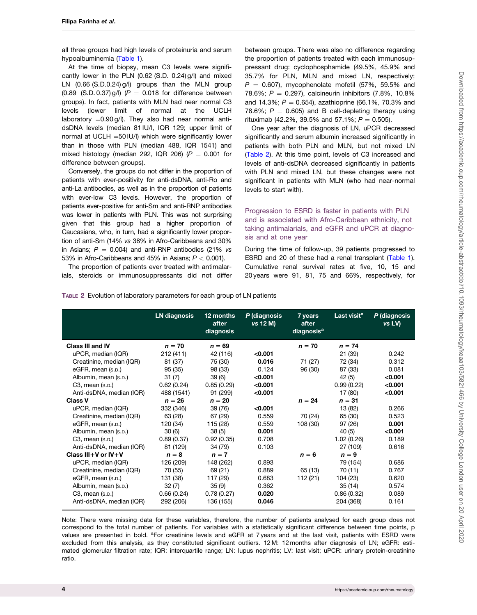all three groups had high levels of proteinuria and serum hypoalbuminemia ([Table 1](#page-2-0)).

At the time of biopsy, mean C3 levels were significantly lower in the PLN (0.62 (S.D. 0.24) g/l) and mixed LN (0.66 (S.D.0.24) g/l) groups than the MLN group (0.89 (S.D. 0.37) g/l) ( $P = 0.018$  for difference between groups). In fact, patients with MLN had near normal C3 levels (lower limit of normal at the UCLH laboratory  $=0.90$  g/l). They also had near normal antidsDNA levels (median 81 IU/l, IQR 129; upper limit of normal at UCLH  $=50$  IU/l) which were significantly lower than in those with PLN (median 488, IQR 1541) and mixed histology (median 292, IQR 206) ( $P = 0.001$  for difference between groups).

Conversely, the groups do not differ in the proportion of patients with ever-positivity for anti-dsDNA, anti-Ro and anti-La antibodies, as well as in the proportion of patients with ever-low C3 levels. However, the proportion of patients ever-positive for anti-Sm and anti-RNP antibodies was lower in patients with PLN. This was not surprising given that this group had a higher proportion of Caucasians, who, in turn, had a significantly lower proportion of anti-Sm (14% vs 38% in Afro-Caribbeans and 30% in Asians;  $P = 0.004$ ) and anti-RNP antibodies (21% vs 53% in Afro-Caribbeans and 45% in Asians;  $P < 0.001$ ).

The proportion of patients ever treated with antimalarials, steroids or immunosuppressants did not differ between groups. There was also no difference regarding the proportion of patients treated with each immunosuppressant drug: cyclophosphamide (49.5%, 45.9% and 35.7% for PLN, MLN and mixed LN, respectively;  $P = 0.607$ ), mycophenolate mofetil (57%, 59.5% and 78.6%;  $P = 0.297$ ), calcineurin inhibitors (7.8%, 10.8%) and 14.3%;  $P = 0.654$ ), azathioprine (66.1%, 70.3% and 78.6%;  $P = 0.605$ ) and B cell-depleting therapy using rituximab (42.2%, 39.5% and 57.1%;  $P = 0.505$ ).

One year after the diagnosis of LN, uPCR decreased significantly and serum albumin increased significantly in patients with both PLN and MLN, but not mixed LN (Table 2). At this time point, levels of C3 increased and levels of anti-dsDNA decreased significantly in patients with PLN and mixed LN, but these changes were not significant in patients with MLN (who had near-normal levels to start with).

Progression to ESRD is faster in patients with PLN and is associated with Afro-Caribbean ethnicity, not taking antimalarials, and eGFR and uPCR at diagnosis and at one year

During the time of follow-up, 39 patients progressed to ESRD and 20 of these had a renal transplant [\(Table 1](#page-2-0)). Cumulative renal survival rates at five, 10, 15 and 20 years were 91, 81, 75 and 66%, respectively, for

|                             | <b>LN</b> diagnosis | 12 months<br>after<br>diagnosis | P (diagnosis<br>vs 12 M) | 7 years<br>after<br>diagnosis <sup>a</sup> | Last visit <sup>a</sup> | P (diagnosis<br>vs LV) |
|-----------------------------|---------------------|---------------------------------|--------------------------|--------------------------------------------|-------------------------|------------------------|
| <b>Class III and IV</b>     | $n = 70$            | $n = 69$                        |                          | $n = 70$                                   | $n = 74$                |                        |
| uPCR, median (IQR)          | 212(411)            | 42 (116)                        | < 0.001                  |                                            | 21 (39)                 | 0.242                  |
| Creatinine, median (IQR)    | 81 (37)             | 75 (30)                         | 0.016                    | 71 (27)                                    | 72 (34)                 | 0.312                  |
| eGFR, mean (s.p.)           | 95(35)              | 98 (33)                         | 0.124                    | 96 (30)                                    | 87 (33)                 | 0.081                  |
| Albumin, mean (s.p.)        | 31(7)               | 39(6)                           | < 0.001                  |                                            | 42 (5)                  | < 0.001                |
| $C3$ , mean $(s.p.)$        | 0.62(0.24)          | 0.85(0.29)                      | < 0.001                  |                                            | 0.99(0.22)              | < 0.001                |
| Anti-dsDNA, median (IQR)    | 488 (1541)          | 91 (299)                        | < 0.001                  |                                            | 17 (80)                 | < 0.001                |
| <b>Class V</b>              | $n = 26$            | $n = 20$                        |                          | $n = 24$                                   | $n = 31$                |                        |
| uPCR, median (IQR)          | 332 (346)           | 39 (76)                         | < 0.001                  |                                            | 13 (82)                 | 0.266                  |
| Creatinine, median (IQR)    | 63 (28)             | 67 (29)                         | 0.559                    | 70 (24)                                    | 65 (30)                 | 0.523                  |
| eGFR, mean (s.p.)           | 120 (34)            | 115 (28)                        | 0.559                    | 108 (30)                                   | 97 (26)                 | 0.001                  |
| Albumin, mean (s.p.)        | 30(6)               | 38(5)                           | 0.001                    |                                            | 40 (5)                  | < 0.001                |
| $C3$ , mean $(s.D.)$        | 0.89(0.37)          | 0.92(0.35)                      | 0.708                    |                                            | 1.02(0.26)              | 0.189                  |
| Anti-dsDNA, median (IQR)    | 81 (129)            | 34 (79)                         | 0.103                    |                                            | 27 (109)                | 0.616                  |
| Class $III + V$ or $IV + V$ | $n = 8$             | $n = 7$                         |                          | $n = 6$                                    | $n = 9$                 |                        |
| uPCR, median (IQR)          | 126 (209)           | 148 (262)                       | 0.893                    |                                            | 79 (154)                | 0.686                  |
| Creatinine, median (IQR)    | 70 (55)             | 69 (21)                         | 0.889                    | 65 (13)                                    | 70 (11)                 | 0.767                  |
| eGFR, mean (s.p.)           | 131 (38)            | 117 (29)                        | 0.683                    | 112(21)                                    | 104 (23)                | 0.620                  |
| Albumin, mean (s.p.)        | 32(7)               | 35(9)                           | 0.362                    |                                            | 35 (14)                 | 0.574                  |
| $C3$ , mean $(s.p.)$        | 0.66(0.24)          | 0.78(0.27)                      | 0.020                    |                                            | 0.86(0.32)              | 0.089                  |
| Anti-dsDNA, median (IQR)    | 292 (206)           | 136 (155)                       | 0.046                    |                                            | 204 (368)               | 0.161                  |

TABLE 2 Evolution of laboratory parameters for each group of LN patients

Note: There were missing data for these variables, therefore, the number of patients analysed for each group does not correspond to the total number of patients. For variables with a statistically significant difference between time points, p values are presented in bold. <sup>a</sup>For creatinine levels and eGFR at 7 years and at the last visit, patients with ESRD were excluded from this analysis, as they constituted significant outliers. 12 M: 12 months after diagnosis of LN; eGFR: estimated glomerular filtration rate; IQR: interquartile range; LN: lupus nephritis; LV: last visit; uPCR: urinary protein-creatinine ratio.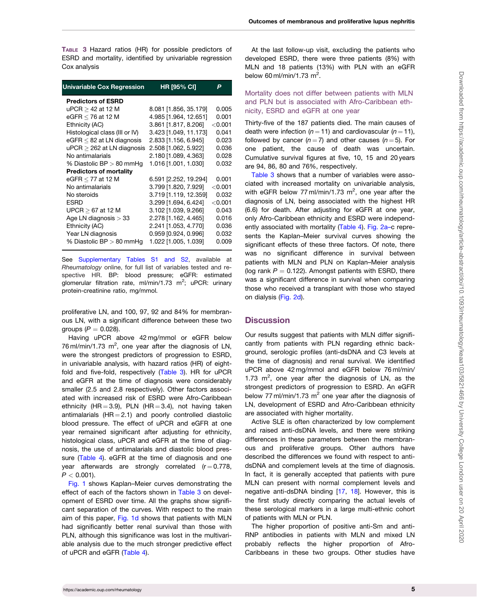<span id="page-4-0"></span>TABLE 3 Hazard ratios (HR) for possible predictors of ESRD and mortality, identified by univariable regression Cox analysis

| <b>Univariable Cox Regression</b> | <b>HR [95% CI]</b>    | P         |
|-----------------------------------|-----------------------|-----------|
| <b>Predictors of ESRD</b>         |                       |           |
| uPCR > 42 at 12 M                 | 8.081 [1.856, 35.179] | 0.005     |
| eGFR $<$ 76 at 12 M               | 4.985 [1.964, 12.651] | 0.001     |
| Ethnicity (AC)                    | 3.861 [1.817, 8.206]  | $<$ 0.001 |
| Histological class (III or IV)    | 3.423 [1.049, 11.173] | 0.041     |
| $eGFR < 82$ at LN diagnosis       | 2.833 [1.156, 6.945]  | 0.023     |
| $uPCR > 262$ at LN diagnosis      | 2.508 [1.062, 5.922]  | 0.036     |
| No antimalarials                  | 2.180 [1.089, 4.363]  | 0.028     |
| % Diastolic $BP > 80$ mmHq        | 1.016 [1.001, 1.030]  | 0.032     |
| <b>Predictors of mortality</b>    |                       |           |
| eGFR $<$ 77 at 12 M               | 6.591 [2.252, 19.294] | 0.001     |
| No antimalarials                  | 3.799 [1.820, 7.929]  | $<$ 0.001 |
| No steroids                       | 3.719 [1.119, 12.359] | 0.032     |
| ESRD                              | 3.299 [1.694, 6.424]  | $<$ 0.001 |
| UPCR $\geq$ 67 at 12 M            | 3.102 [1.039, 9.266]  | 0.043     |
| Age LN diagnosis $>$ 33           | 2.278 [1.162, 4.465]  | 0.016     |
| Ethnicity (AC)                    | 2.241 [1.053, 4.770]  | 0.036     |
| Year LN diagnosis                 | 0.959 [0.924, 0.996]  | 0.032     |
| % Diastolic $BP > 80$ mmHg        | 1.022 [1.005, 1.039]  | 0.009     |

See [Supplementary Tables S1 and S2,](https://academic.oup.com/rheumatology/article-lookup/doi/10.1093/rheumatology/keaa103#supplementary-data) available at Rheumatology online, for full list of variables tested and respective HR. BP: blood pressure; eGFR: estimated glomerular filtration rate, ml/min/1.73 m<sup>2</sup>; uPCR: urinary protein-creatinine ratio, mg/mmol.

proliferative LN, and 100, 97, 92 and 84% for membranous LN, with a significant difference between these two groups  $(P = 0.028)$ .

Having uPCR above 42 mg/mmol or eGFR below 76 ml/min/1.73  $m^2$ , one year after the diagnosis of LN, were the strongest predictors of progression to ESRD, in univariable analysis, with hazard ratios (HR) of eightfold and five-fold, respectively (Table 3). HR for uPCR and eGFR at the time of diagnosis were considerably smaller (2.5 and 2.8 respectively). Other factors associated with increased risk of ESRD were Afro-Caribbean ethnicity (HR = 3.9), PLN (HR = 3.4), not having taken antimalarials  $(HR = 2.1)$  and poorly controlled diastolic blood pressure. The effect of uPCR and eGFR at one year remained significant after adjusting for ethnicity, histological class, uPCR and eGFR at the time of diagnosis, the use of antimalarials and diastolic blood pres-sure ([Table 4\)](#page-5-0). eGFR at the time of diagnosis and one year afterwards are strongly correlated  $(r = 0.778,$  $P < 0.001$ ).

[Fig. 1](#page-6-0) shows Kaplan–Meier curves demonstrating the effect of each of the factors shown in Table 3 on development of ESRD over time. All the graphs show significant separation of the curves. With respect to the main aim of this paper, [Fig. 1d](#page-6-0) shows that patients with MLN had significantly better renal survival than those with PLN, although this significance was lost in the multivariable analysis due to the much stronger predictive effect of uPCR and eGFR ([Table 4](#page-5-0)).

At the last follow-up visit, excluding the patients who developed ESRD, there were three patients (8%) with MLN and 18 patients (13%) with PLN with an eGFR below  $60$  ml/min/1.73 m<sup>2</sup>.

Mortality does not differ between patients with MLN and PLN but is associated with Afro-Caribbean ethnicity, ESRD and eGFR at one year

Thirty-five of the 187 patients died. The main causes of death were infection ( $n = 11$ ) and cardiovascular ( $n = 11$ ), followed by cancer ( $n = 7$ ) and other causes ( $n = 5$ ). For one patient, the cause of death was uncertain. Cumulative survival figures at five, 10, 15 and 20 years are 94, 86, 80 and 76%, respectively.

Table 3 shows that a number of variables were associated with increased mortality on univariable analysis, with eGFR below 77 ml/min/1.73  $m^2$ , one year after the diagnosis of LN, being associated with the highest HR (6.6) for death. After adjusting for eGFR at one year, only Afro-Caribbean ethnicity and ESRD were independently associated with mortality [\(Table 4\)](#page-5-0). [Fig. 2a–](#page-7-0)c represents the Kaplan–Meier survival curves showing the significant effects of these three factors. Of note, there was no significant difference in survival between patients with MLN and PLN on Kaplan–Meier analysis (log rank  $P = 0.122$ ). Amongst patients with ESRD, there was a significant difference in survival when comparing those who received a transplant with those who stayed on dialysis [\(Fig. 2d\)](#page-7-0).

### **Discussion**

Our results suggest that patients with MLN differ significantly from patients with PLN regarding ethnic background, serologic profiles (anti-dsDNA and C3 levels at the time of diagnosis) and renal survival. We identified uPCR above 42 mg/mmol and eGFR below 76 ml/min/ 1.73  $m^2$ , one year after the diagnosis of LN, as the strongest predictors of progression to ESRD. An eGFR below 77 ml/min/1.73 m<sup>2</sup> one year after the diagnosis of LN, development of ESRD and Afro-Caribbean ethnicity are associated with higher mortality.

Active SLE is often characterized by low complement and raised anti-dsDNA levels, and there were striking differences in these parameters between the membranous and proliferative groups. Other authors have described the differences we found with respect to antidsDNA and complement levels at the time of diagnosis. In fact, it is generally accepted that patients with pure MLN can present with normal complement levels and negative anti-dsDNA binding [\[17](#page-9-0), [18\]](#page-9-0). However, this is the first study directly comparing the actual levels of these serological markers in a large multi-ethnic cohort of patients with MLN or PLN.

The higher proportion of positive anti-Sm and anti-RNP antibodies in patients with MLN and mixed LN probably reflects the higher proportion of Afro-Caribbeans in these two groups. Other studies have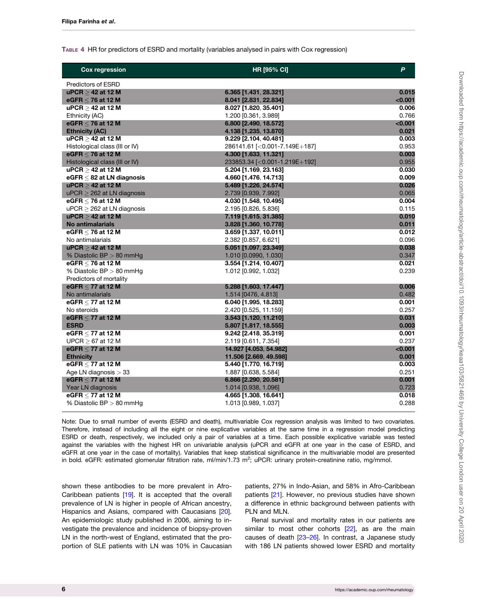#### <span id="page-5-0"></span>TABLE 4 HR for predictors of ESRD and mortality (variables analysed in pairs with Cox regression)

| <b>Cox regression</b>          | HR [95% CI]                         | P         |
|--------------------------------|-------------------------------------|-----------|
| <b>Predictors of ESRD</b>      |                                     |           |
| $\mu$ PCR $>$ 42 at 12 M       | 6.365 [1.431, 28.321]               | 0.015     |
| eGFR $<$ 76 at 12 M            | 8.041 [2.831, 22.834]               | $<$ 0.001 |
| $uPCR > 42$ at 12 M            | 8.027 [1.820, 35.401]               | 0.006     |
| Ethnicity (AC)                 | 1.200 [0.361, 3.989]                | 0.766     |
| eGFR $\leq$ 76 at 12 M         | 6.800 [2.490, 18.572]               | <0.001    |
| <b>Ethnicity (AC)</b>          | 4.138 [1.235, 13.870]               | 0.021     |
| $\mu$ PCR $>$ 42 at 12 M       | 9.229 [2.104, 40.481]               | 0.003     |
| Histological class (III or IV) | 286141.61 [< 0.001-7.149E+187]      | 0.953     |
| eGFR $<$ 76 at 12 M            | 4.300 [1.633, 11.321]               | 0.003     |
| Histological class (III or IV) | 233853.34 [< 0.001 - 1.219 E + 192] | 0.955     |
| $\mu$ PCR $>$ 42 at 12 M       | 5.204 [1.169, 23.163]               | 0.030     |
| eGFR $<$ 82 at LN diagnosis    | 4.660 [1.476, 14.713]               | 0.009     |
| $\mu$ PCR $>$ 42 at 12 M       | 5.489 [1.226, 24.574]               | 0.026     |
| $uPCR > 262$ at LN diagnosis   | 2.739 [0.939, 7.992]                | 0.065     |
| eGFR $\leq 76$ at 12 M         | 4.030 [1.548, 10.495]               | 0.004     |
| $uPCR > 262$ at LN diagnosis   | 2.195 [0.826, 5.836]                | 0.115     |
| $\mu$ PCR $>$ 42 at 12 M       | 7.119 [1.615, 31.385]               | 0.010     |
| <b>No antimalarials</b>        | 3.828 [1.360, 10.778]               | 0.011     |
| eGFR $<$ 76 at 12 M            | 3.659 [1.337, 10.011]               | 0.012     |
| No antimalarials               | 2.382 [0.857, 6.621]                | 0.096     |
| $\mu$ PCR $>$ 42 at 12 M       | 5.051 [1.097, 23.349]               | 0.038     |
| % Diastolic BP $> 80$ mmHg     | 1.010 [0.0990, 1.030]               | 0.347     |
| eGFR $<$ 76 at 12 M            | 3.554 [1.214, 10.407]               | 0.021     |
| % Diastolic BP $> 80$ mmHg     | 1.012 [0.992, 1.032]                | 0.239     |
| Predictors of mortality        |                                     |           |
| eGFR $<$ 77 at 12 M            | 5.288 [1.603, 17.447]               | 0.006     |
| No antimalarials               | 1.514 [0476, 4.813]                 | 0.482     |
| eGFR $\leq$ 77 at 12 M         | 6.040 [1.995, 18.283]               | 0.001     |
| No steroids                    | 2.420 [0.525, 11.159]               | 0.257     |
| eGFR $<$ 77 at 12 M            | 3.543 [1.120, 11.210]               | 0.031     |
| <b>ESRD</b>                    | 5.807 [1.817, 18.555]               | 0.003     |
| eGFR < 77 at 12 M              | $9.242$ [2.418, 35.319]             | 0.001     |
| $UPCR > 67$ at 12 M            | 2.119 [0.611, 7.354]                | 0.237     |
| eGFR $<$ 77 at 12 M            | 14.927 [4.053, 54.982]              | < 0.001   |
| <b>Ethnicity</b>               | 11.506 [2.669, 49.598]              | 0.001     |
| eGFR < 77 at 12 M              | 5.440 [1.770, 16.719]               | 0.003     |
| Age LN diagnosis $>$ 33        | 1.887 [0.638, 5.584]                | 0.251     |
| eGFR $<$ 77 at 12 M            | 6.866 [2.290, 20.581]               | 0.001     |
| Year LN diagnosis              | 1.014 [0.938, 1.096]                | 0.723     |
| eGFR $\leq$ 77 at 12 M         | 4.665 [1.308, 16.641]               | 0.018     |
| % Diastolic BP $> 80$ mmHg     | 1.013 [0.989, 1.037]                | 0.288     |

Note: Due to small number of events (ESRD and death), multivariable Cox regression analysis was limited to two covariates. Therefore, instead of including all the eight or nine explicative variables at the same time in a regression model predicting ESRD or death, respectively, we included only a pair of variables at a time. Each possible explicative variable was tested against the variables with the highest HR on univariable analysis (uPCR and eGFR at one year in the case of ESRD, and eGFR at one year in the case of mortality). Variables that keep statistical significance in the multivariable model are presented in bold. eGFR: estimated glomerular filtration rate, ml/min/1.73 m<sup>2</sup>; uPCR: urinary protein-creatinine ratio, mg/mmol.

shown these antibodies to be more prevalent in Afro-Caribbean patients [[19](#page-9-0)]. It is accepted that the overall prevalence of LN is higher in people of African ancestry, Hispanics and Asians, compared with Caucasians [[20](#page-9-0)]. An epidemiologic study published in 2006, aiming to investigate the prevalence and incidence of biopsy-proven LN in the north-west of England, estimated that the proportion of SLE patients with LN was 10% in Caucasian patients, 27% in Indo-Asian, and 58% in Afro-Caribbean patients [[21\]](#page-9-0). However, no previous studies have shown a difference in ethnic background between patients with PLN and MLN.

Renal survival and mortality rates in our patients are similar to most other cohorts [[22](#page-9-0)], as are the main causes of death [[23](#page-9-0)–[26\]](#page-9-0). In contrast, a Japanese study with 186 LN patients showed lower ESRD and mortality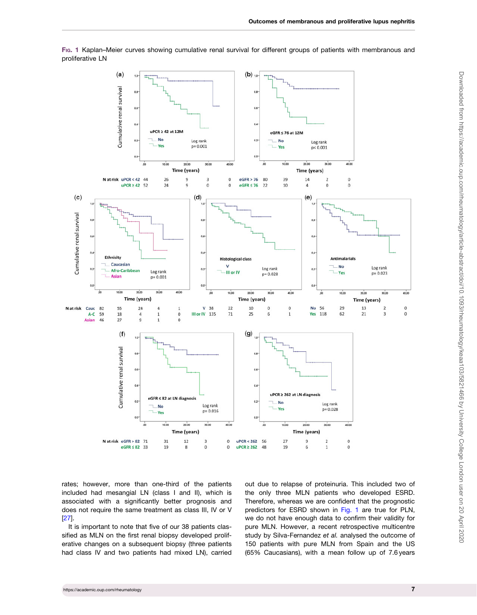

<span id="page-6-0"></span>FIG. 1 Kaplan–Meier curves showing cumulative renal survival for different groups of patients with membranous and proliferative LN

rates; however, more than one-third of the patients included had mesangial LN (class I and II), which is associated with a significantly better prognosis and does not require the same treatment as class III, IV or V [[27\]](#page-9-0).

It is important to note that five of our 38 patients classified as MLN on the first renal biopsy developed proliferative changes on a subsequent biopsy (three patients had class IV and two patients had mixed LN), carried out due to relapse of proteinuria. This included two of the only three MLN patients who developed ESRD. Therefore, whereas we are confident that the prognostic predictors for ESRD shown in Fig. 1 are true for PLN, we do not have enough data to confirm their validity for pure MLN. However, a recent retrospective multicentre study by Silva-Fernandez et al. analysed the outcome of 150 patients with pure MLN from Spain and the US (65% Caucasians), with a mean follow up of 7.6 years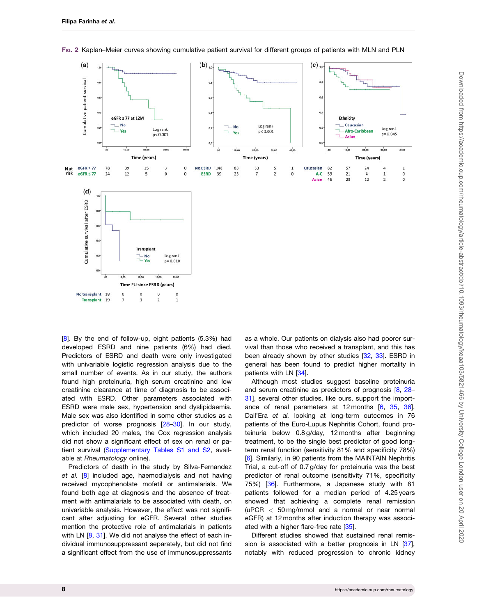<span id="page-7-0"></span>

FIG. 2 Kaplan–Meier curves showing cumulative patient survival for different groups of patients with MLN and PLN

[[8](#page-8-0)]. By the end of follow-up, eight patients (5.3%) had developed ESRD and nine patients (6%) had died. Predictors of ESRD and death were only investigated with univariable logistic regression analysis due to the small number of events. As in our study, the authors found high proteinuria, high serum creatinine and low creatinine clearance at time of diagnosis to be associated with ESRD. Other parameters associated with ESRD were male sex, hypertension and dyslipidaemia. Male sex was also identified in some other studies as a predictor of worse prognosis [[28–30\]](#page-9-0). In our study, which included 20 males, the Cox regression analysis did not show a significant effect of sex on renal or patient survival [\(Supplementary Tables S1 and S2](https://academic.oup.com/rheumatology/article-lookup/doi/10.1093/rheumatology/keaa103#supplementary-data), available at Rheumatology online).

Predictors of death in the study by Silva-Fernandez et al. [\[8\]](#page-8-0) included age, haemodialysis and not having received mycophenolate mofetil or antimalarials. We found both age at diagnosis and the absence of treatment with antimalarials to be associated with death, on univariable analysis. However, the effect was not significant after adjusting for eGFR. Several other studies mention the protective role of antimalarials in patients with LN [[8](#page-8-0), [31\]](#page-9-0). We did not analyse the effect of each individual immunosuppressant separately, but did not find a significant effect from the use of immunosuppressants as a whole. Our patients on dialysis also had poorer survival than those who received a transplant, and this has been already shown by other studies [[32](#page-9-0), [33\]](#page-9-0). ESRD in general has been found to predict higher mortality in patients with LN [\[34\]](#page-9-0).

Although most studies suggest baseline proteinuria and serum creatinine as predictors of prognosis [[8](#page-8-0), [28–](#page-9-0) [31](#page-9-0)], several other studies, like ours, support the importance of renal parameters at 12 months [[6](#page-8-0), [35](#page-9-0), [36](#page-9-0)]. Dall'Era et al. looking at long-term outcomes in 76 patients of the Euro-Lupus Nephritis Cohort, found proteinuria below 0.8 g/day, 12 months after beginning treatment, to be the single best predictor of good longterm renal function (sensitivity 81% and specificity 78%) [[6\]](#page-8-0). Similarly, in 90 patients from the MAINTAIN Nephritis Trial, a cut-off of 0.7 g/day for proteinuria was the best predictor of renal outcome (sensitivity 71%, specificity 75%) [\[36\]](#page-9-0). Furthermore, a Japanese study with 81 patients followed for a median period of 4.25 years showed that achieving a complete renal remission (uPCR < 50 mg/mmol and a normal or near normal eGFR) at 12 months after induction therapy was associated with a higher flare-free rate [\[35\]](#page-9-0).

Different studies showed that sustained renal remission is associated with a better prognosis in LN [[37](#page-9-0)], notably with reduced progression to chronic kidney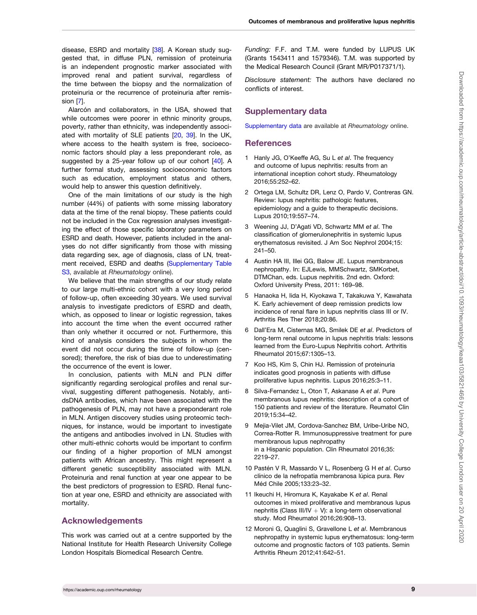<span id="page-8-0"></span>disease, ESRD and mortality [[38](#page-9-0)]. A Korean study suggested that, in diffuse PLN, remission of proteinuria is an independent prognostic marker associated with improved renal and patient survival, regardless of the time between the biopsy and the normalization of proteinuria or the recurrence of proteinuria after remission [7].

Alarcón and collaborators, in the USA, showed that while outcomes were poorer in ethnic minority groups, poverty, rather than ethnicity, was independently associated with mortality of SLE patients [\[20,](#page-9-0) [39](#page-9-0)]. In the UK, where access to the health system is free, socioeconomic factors should play a less preponderant role, as suggested by a 25-year follow up of our cohort [\[40\]](#page-9-0). A further formal study, assessing socioeconomic factors such as education, employment status and others, would help to answer this question definitively.

One of the main limitations of our study is the high number (44%) of patients with some missing laboratory data at the time of the renal biopsy. These patients could not be included in the Cox regression analyses investigating the effect of those specific laboratory parameters on ESRD and death. However, patients included in the analyses do not differ significantly from those with missing data regarding sex, age of diagnosis, class of LN, treatment received, ESRD and deaths [\(Supplementary Table](https://academic.oup.com/rheumatology/article-lookup/doi/10.1093/rheumatology/keaa103#supplementary-data) [S3](https://academic.oup.com/rheumatology/article-lookup/doi/10.1093/rheumatology/keaa103#supplementary-data), available at Rheumatology online).

We believe that the main strengths of our study relate to our large multi-ethnic cohort with a very long period of follow-up, often exceeding 30 years. We used survival analysis to investigate predictors of ESRD and death, which, as opposed to linear or logistic regression, takes into account the time when the event occurred rather than only whether it occurred or not. Furthermore, this kind of analysis considers the subjects in whom the event did not occur during the time of follow-up (censored); therefore, the risk of bias due to underestimating the occurrence of the event is lower.

In conclusion, patients with MLN and PLN differ significantly regarding serological profiles and renal survival, suggesting different pathogenesis. Notably, antidsDNA antibodies, which have been associated with the pathogenesis of PLN, may not have a preponderant role in MLN. Antigen discovery studies using proteomic techniques, for instance, would be important to investigate the antigens and antibodies involved in LN. Studies with other multi-ethnic cohorts would be important to confirm our finding of a higher proportion of MLN amongst patients with African ancestry. This might represent a different genetic susceptibility associated with MLN. Proteinuria and renal function at year one appear to be the best predictors of progression to ESRD. Renal function at year one, ESRD and ethnicity are associated with mortality.

## Acknowledgements

This work was carried out at a centre supported by the National Institute for Health Research University College London Hospitals Biomedical Research Centre.

Funding: F.F. and T.M. were funded by LUPUS UK (Grants 1543411 and 1579346). T.M. was supported by the Medical Research Council (Grant MR/P017371/1).

Disclosure statement: The authors have declared no conflicts of interest.

## Supplementary data

[Supplementary data](https://academic.oup.com/rheumatology/article-lookup/doi/10.1093/rheumatology/keaa103#supplementary-data) are available at Rheumatology online.

## **References**

- [1](#page-0-0) Hanly JG, O'Keeffe AG, Su L et al. The frequency and outcome of lupus nephritis: results from an international inception cohort study. Rheumatology 2016;55:252–62.
- [2](#page-0-0) Ortega LM, Schultz DR, Lenz O, Pardo V, Contreras GN. Review: lupus nephritis: pathologic features, epidemiology and a guide to therapeutic decisions. Lupus 2010;19:557–74.
- [3](#page-1-0) Weening JJ, D'Agati VD, Schwartz MM et al. The classification of glomerulonephritis in systemic lupus erythematosus revisited. J Am Soc Nephrol 2004;15: 241–50.
- [4](#page-1-0) Austin HA III, Illei GG, Balow JE. Lupus membranous nephropathy. In: EJLewis, MMSchwartz, SMKorbet, DTMChan, eds. Lupus nephritis. 2nd edn. Oxford: Oxford University Press, 2011: 169–98.
- 5 Hanaoka H, Iida H, Kiyokawa T, Takakuwa Y, Kawahata K. Early achievement of deep remission predicts low incidence of renal flare in lupus nephritis class III or IV. Arthritis Res Ther 2018;20:86.
- [6](#page-7-0) Dall'Era M, Cisternas MG, Smilek DE et al. Predictors of long-term renal outcome in lupus nephritis trials: lessons learned from the Euro-Lupus Nephritis cohort. Arthritis Rheumatol 2015;67:1305–13.
- 7 Koo HS, Kim S, Chin HJ. Remission of proteinuria indicates good prognosis in patients with diffuse proliferative lupus nephritis. Lupus 2016;25:3–11.
- [8](#page-6-0) Silva-Fernandez L, Oton T, Askanase A et al. Pure membranous lupus nephritis: description of a cohort of 150 patients and review of the literature. Reumatol Clin 2019;15:34–42.
- 9 Mejia-Vilet JM, Cordova-Sanchez BM, Uribe-Uribe NO, Correa-Rotter R. Immunosuppressive treatment for pure membranous lupus nephropathy in a Hispanic population. Clin Rheumatol 2016;35: 2219–27.
- 10 Pastén V R, Massardo V L, Rosenberg G H et al. Curso clínico de la nefropatía membranosa lúpica pura. Rev Méd Chile 2005;133:23-32.
- 11 Ikeuchi H, Hiromura K, Kayakabe K et al. Renal outcomes in mixed proliferative and membranous lupus nephritis (Class III/IV  $+$  V): a long-term observational study. Mod Rheumatol 2016;26:908–13.
- 12 Moroni G, Quaglini S, Gravellone L et al. Membranous nephropathy in systemic lupus erythematosus: long-term outcome and prognostic factors of 103 patients. Semin Arthritis Rheum 2012;41:642–51.